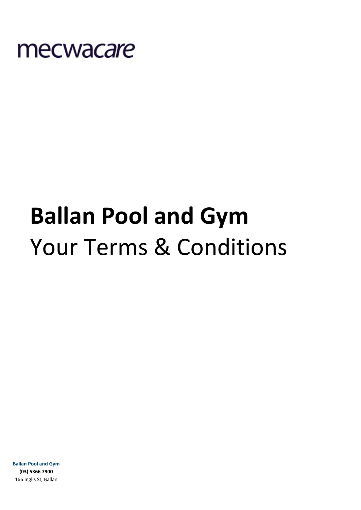

# **Ballan Pool and Gym** Your Terms & Conditions

**Ballan Pool and Gym (03) 5366 7900** 166 Inglis St, Ballan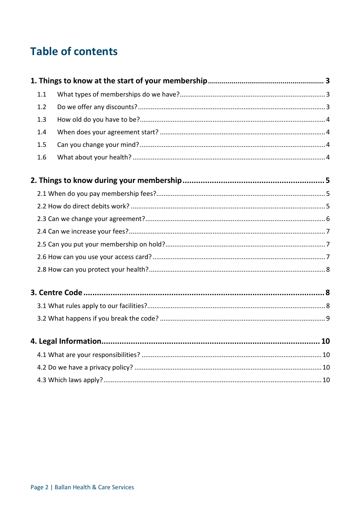# **Table of contents**

| 1.1 |  |  |  |  |  |
|-----|--|--|--|--|--|
| 1.2 |  |  |  |  |  |
| 1.3 |  |  |  |  |  |
| 1.4 |  |  |  |  |  |
| 1.5 |  |  |  |  |  |
| 1.6 |  |  |  |  |  |
|     |  |  |  |  |  |
|     |  |  |  |  |  |
|     |  |  |  |  |  |
|     |  |  |  |  |  |
|     |  |  |  |  |  |
|     |  |  |  |  |  |
|     |  |  |  |  |  |
|     |  |  |  |  |  |
|     |  |  |  |  |  |
|     |  |  |  |  |  |
|     |  |  |  |  |  |
|     |  |  |  |  |  |
|     |  |  |  |  |  |
|     |  |  |  |  |  |
|     |  |  |  |  |  |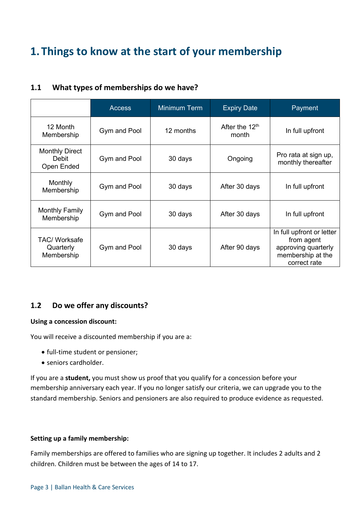# <span id="page-2-0"></span>**1.Things to know at the start of your membership**

<span id="page-2-1"></span>

| 1.1 |  | What types of memberships do we have? |  |
|-----|--|---------------------------------------|--|
|-----|--|---------------------------------------|--|

|                                                 | <b>Access</b> | <b>Minimum Term</b> | <b>Expiry Date</b>        | Payment                                                                                             |
|-------------------------------------------------|---------------|---------------------|---------------------------|-----------------------------------------------------------------------------------------------------|
| 12 Month<br>Membership                          | Gym and Pool  | 12 months           | After the $12th$<br>month | In full upfront                                                                                     |
| <b>Monthly Direct</b><br>Debit<br>Open Ended    | Gym and Pool  | 30 days             | Ongoing                   | Pro rata at sign up,<br>monthly thereafter                                                          |
| Monthly<br>Membership                           | Gym and Pool  | 30 days             | After 30 days             | In full upfront                                                                                     |
| <b>Monthly Family</b><br>Membership             | Gym and Pool  | 30 days             | After 30 days             | In full upfront                                                                                     |
| <b>TAC/ Worksafe</b><br>Quarterly<br>Membership | Gym and Pool  | 30 days             | After 90 days             | In full upfront or letter<br>from agent<br>approving quarterly<br>membership at the<br>correct rate |

# <span id="page-2-2"></span>**1.2 Do we offer any discounts?**

## **Using a concession discount:**

You will receive a discounted membership if you are a:

- full-time student or pensioner;
- seniors cardholder.

If you are a **student,** you must show us proof that you qualify for a concession before your membership anniversary each year. If you no longer satisfy our criteria, we can upgrade you to the standard membership. Seniors and pensioners are also required to produce evidence as requested.

## **Setting up a family membership:**

Family memberships are offered to families who are signing up together. It includes 2 adults and 2 children. Children must be between the ages of 14 to 17.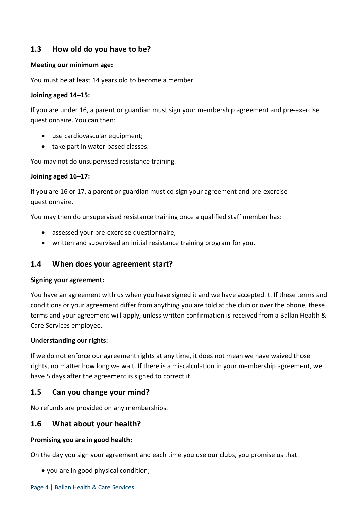# <span id="page-3-0"></span>**1.3 How old do you have to be?**

## **Meeting our minimum age:**

You must be at least 14 years old to become a member.

# **Joining aged 14–15:**

If you are under 16, a parent or guardian must sign your membership agreement and pre-exercise questionnaire. You can then:

- use cardiovascular equipment;
- take part in water-based classes.

You may not do unsupervised resistance training.

# **Joining aged 16–17:**

If you are 16 or 17, a parent or guardian must co-sign your agreement and pre-exercise questionnaire.

You may then do unsupervised resistance training once a qualified staff member has:

- assessed your pre-exercise questionnaire;
- written and supervised an initial resistance training program for you.

# <span id="page-3-1"></span>**1.4 When does your agreement start?**

## **Signing your agreement:**

You have an agreement with us when you have signed it and we have accepted it. If these terms and conditions or your agreement differ from anything you are told at the club or over the phone, these terms and your agreement will apply, unless written confirmation is received from a Ballan Health & Care Services employee.

# **Understanding our rights:**

If we do not enforce our agreement rights at any time, it does not mean we have waived those rights, no matter how long we wait. If there is a miscalculation in your membership agreement, we have 5 days after the agreement is signed to correct it.

# <span id="page-3-2"></span>**1.5 Can you change your mind?**

No refunds are provided on any memberships.

# <span id="page-3-3"></span>**1.6 What about your health?**

## **Promising you are in good health:**

On the day you sign your agreement and each time you use our clubs, you promise us that:

• you are in good physical condition;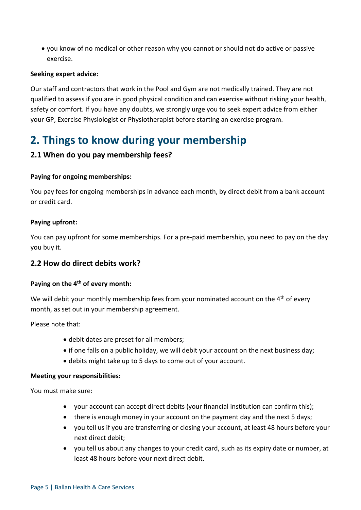• you know of no medical or other reason why you cannot or should not do active or passive exercise.

# **Seeking expert advice:**

Our staff and contractors that work in the Pool and Gym are not medically trained. They are not qualified to assess if you are in good physical condition and can exercise without risking your health, safety or comfort. If you have any doubts, we strongly urge you to seek expert advice from either your GP, Exercise Physiologist or Physiotherapist before starting an exercise program.

# <span id="page-4-0"></span>**2. Things to know during your membership**

# <span id="page-4-1"></span>**2.1 When do you pay membership fees?**

# **Paying for ongoing memberships:**

You pay fees for ongoing memberships in advance each month, by direct debit from a bank account or credit card.

# **Paying upfront:**

You can pay upfront for some memberships. For a pre-paid membership, you need to pay on the day you buy it.

# <span id="page-4-2"></span>**2.2 How do direct debits work?**

## **Paying on the 4th of every month:**

We will debit your monthly membership fees from your nominated account on the 4<sup>th</sup> of every month, as set out in your membership agreement.

Please note that:

- debit dates are preset for all members;
- if one falls on a public holiday, we will debit your account on the next business day;
- debits might take up to 5 days to come out of your account.

## **Meeting your responsibilities:**

You must make sure:

- your account can accept direct debits (your financial institution can confirm this);
- there is enough money in your account on the payment day and the next 5 days;
- you tell us if you are transferring or closing your account, at least 48 hours before your next direct debit;
- you tell us about any changes to your credit card, such as its expiry date or number, at least 48 hours before your next direct debit.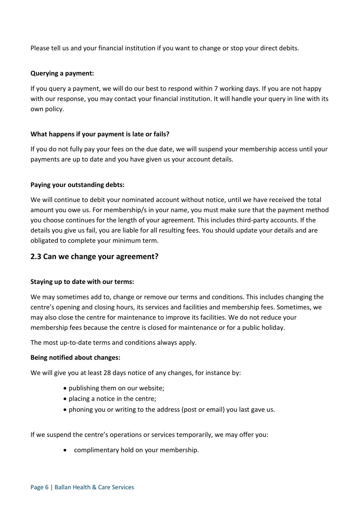Please tell us and your financial institution if you want to change or stop your direct debits.

## **Querying a payment:**

If you query a payment, we will do our best to respond within 7 working days. If you are not happy with our response, you may contact your financial institution. It will handle your query in line with its own policy.

# **What happens if your payment is late or fails?**

If you do not fully pay your fees on the due date, we will suspend your membership access until your payments are up to date and you have given us your account details.

# **Paying your outstanding debts:**

We will continue to debit your nominated account without notice, until we have received the total amount you owe us. For membership/s in your name, you must make sure that the payment method you choose continues for the length of your agreement. This includes third-party accounts. If the details you give us fail, you are liable for all resulting fees. You should update your details and are obligated to complete your minimum term.

# <span id="page-5-0"></span>**2.3 Can we change your agreement?**

## **Staying up to date with our terms:**

We may sometimes add to, change or remove our terms and conditions. This includes changing the centre's opening and closing hours, its services and facilities and membership fees. Sometimes, we may also close the centre for maintenance to improve its facilities. We do not reduce your membership fees because the centre is closed for maintenance or for a public holiday.

The most up-to-date terms and conditions always apply.

## **Being notified about changes:**

We will give you at least 28 days notice of any changes, for instance by:

- publishing them on our website;
- placing a notice in the centre;
- phoning you or writing to the address (post or email) you last gave us.

If we suspend the centre's operations or services temporarily, we may offer you:

• complimentary hold on your membership.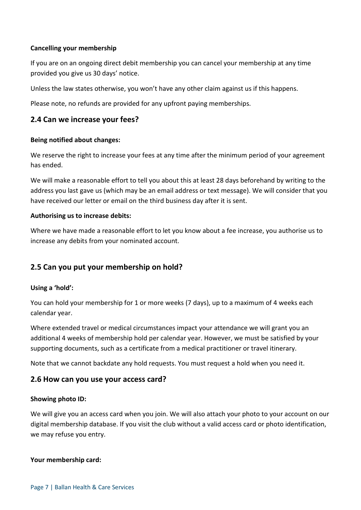# **Cancelling your membership**

If you are on an ongoing direct debit membership you can cancel your membership at any time provided you give us 30 days' notice.

Unless the law states otherwise, you won't have any other claim against us if this happens.

Please note, no refunds are provided for any upfront paying memberships.

# <span id="page-6-0"></span>**2.4 Can we increase your fees?**

# **Being notified about changes:**

We reserve the right to increase your fees at any time after the minimum period of your agreement has ended.

We will make a reasonable effort to tell you about this at least 28 days beforehand by writing to the address you last gave us (which may be an email address or text message). We will consider that you have received our letter or email on the third business day after it is sent.

## **Authorising us to increase debits:**

Where we have made a reasonable effort to let you know about a fee increase, you authorise us to increase any debits from your nominated account.

# <span id="page-6-1"></span>**2.5 Can you put your membership on hold?**

## **Using a 'hold':**

You can hold your membership for 1 or more weeks (7 days), up to a maximum of 4 weeks each calendar year.

Where extended travel or medical circumstances impact your attendance we will grant you an additional 4 weeks of membership hold per calendar year. However, we must be satisfied by your supporting documents, such as a certificate from a medical practitioner or travel itinerary.

Note that we cannot backdate any hold requests. You must request a hold when you need it.

# <span id="page-6-2"></span>**2.6 How can you use your access card?**

## **Showing photo ID:**

We will give you an access card when you join. We will also attach your photo to your account on our digital membership database. If you visit the club without a valid access card or photo identification, we may refuse you entry.

## **Your membership card:**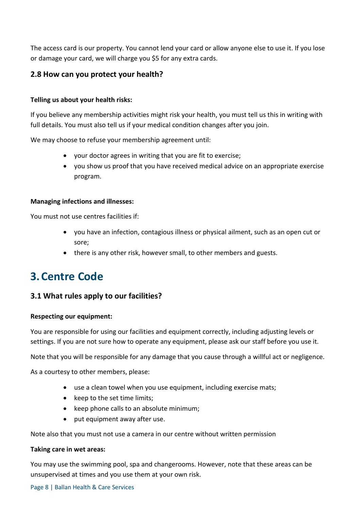The access card is our property. You cannot lend your card or allow anyone else to use it. If you lose or damage your card, we will charge you \$5 for any extra cards.

# <span id="page-7-0"></span>**2.8 How can you protect your health?**

# **Telling us about your health risks:**

If you believe any membership activities might risk your health, you must tell us this in writing with full details. You must also tell us if your medical condition changes after you join.

We may choose to refuse your membership agreement until:

- your doctor agrees in writing that you are fit to exercise;
- you show us proof that you have received medical advice on an appropriate exercise program.

## **Managing infections and illnesses:**

You must not use centres facilities if:

- you have an infection, contagious illness or physical ailment, such as an open cut or sore;
- there is any other risk, however small, to other members and guests.

# <span id="page-7-1"></span>**3.Centre Code**

# <span id="page-7-2"></span>**3.1 What rules apply to our facilities?**

## **Respecting our equipment:**

You are responsible for using our facilities and equipment correctly, including adjusting levels or settings. If you are not sure how to operate any equipment, please ask our staff before you use it.

Note that you will be responsible for any damage that you cause through a willful act or negligence.

As a courtesy to other members, please:

- use a clean towel when you use equipment, including exercise mats;
- keep to the set time limits;
- keep phone calls to an absolute minimum;
- put equipment away after use.

Note also that you must not use a camera in our centre without written permission

## **Taking care in wet areas:**

You may use the swimming pool, spa and changerooms. However, note that these areas can be unsupervised at times and you use them at your own risk.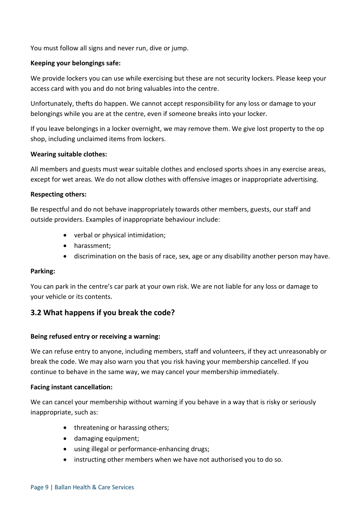You must follow all signs and never run, dive or jump.

# **Keeping your belongings safe:**

We provide lockers you can use while exercising but these are not security lockers. Please keep your access card with you and do not bring valuables into the centre.

Unfortunately, thefts do happen. We cannot accept responsibility for any loss or damage to your belongings while you are at the centre, even if someone breaks into your locker.

If you leave belongings in a locker overnight, we may remove them. We give lost property to the op shop, including unclaimed items from lockers.

# **Wearing suitable clothes:**

All members and guests must wear suitable clothes and enclosed sports shoes in any exercise areas, except for wet areas. We do not allow clothes with offensive images or inappropriate advertising.

# **Respecting others:**

Be respectful and do not behave inappropriately towards other members, guests, our staff and outside providers. Examples of inappropriate behaviour include:

- verbal or physical intimidation;
- harassment;
- discrimination on the basis of race, sex, age or any disability another person may have.

## **Parking:**

You can park in the centre's car park at your own risk. We are not liable for any loss or damage to your vehicle or its contents.

# <span id="page-8-0"></span>**3.2 What happens if you break the code?**

## **Being refused entry or receiving a warning:**

We can refuse entry to anyone, including members, staff and volunteers, if they act unreasonably or break the code. We may also warn you that you risk having your membership cancelled. If you continue to behave in the same way, we may cancel your membership immediately.

## **Facing instant cancellation:**

We can cancel your membership without warning if you behave in a way that is risky or seriously inappropriate, such as:

- threatening or harassing others;
- damaging equipment;
- using illegal or performance-enhancing drugs;
- instructing other members when we have not authorised you to do so.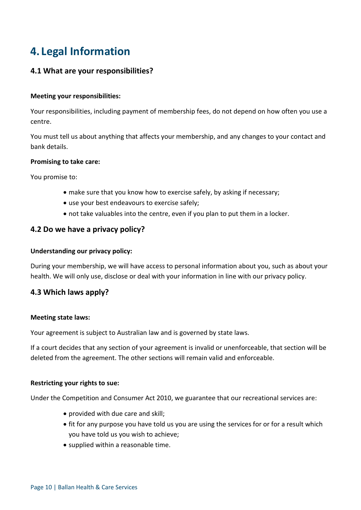# <span id="page-9-0"></span>**4. Legal Information**

# <span id="page-9-1"></span>**4.1 What are your responsibilities?**

#### **Meeting your responsibilities:**

Your responsibilities, including payment of membership fees, do not depend on how often you use a centre.

You must tell us about anything that affects your membership, and any changes to your contact and bank details.

#### **Promising to take care:**

You promise to:

- make sure that you know how to exercise safely, by asking if necessary;
- use your best endeavours to exercise safely;
- not take valuables into the centre, even if you plan to put them in a locker.

# <span id="page-9-2"></span>**4.2 Do we have a privacy policy?**

## **Understanding our privacy policy:**

During your membership, we will have access to personal information about you, such as about your health. We will only use, disclose or deal with your information in line with our privacy policy.

# <span id="page-9-3"></span>**4.3 Which laws apply?**

#### **Meeting state laws:**

Your agreement is subject to Australian law and is governed by state laws.

If a court decides that any section of your agreement is invalid or unenforceable, that section will be deleted from the agreement. The other sections will remain valid and enforceable.

## **Restricting your rights to sue:**

Under the Competition and Consumer Act 2010, we guarantee that our recreational services are:

- provided with due care and skill;
- fit for any purpose you have told us you are using the services for or for a result which you have told us you wish to achieve;
- supplied within a reasonable time.